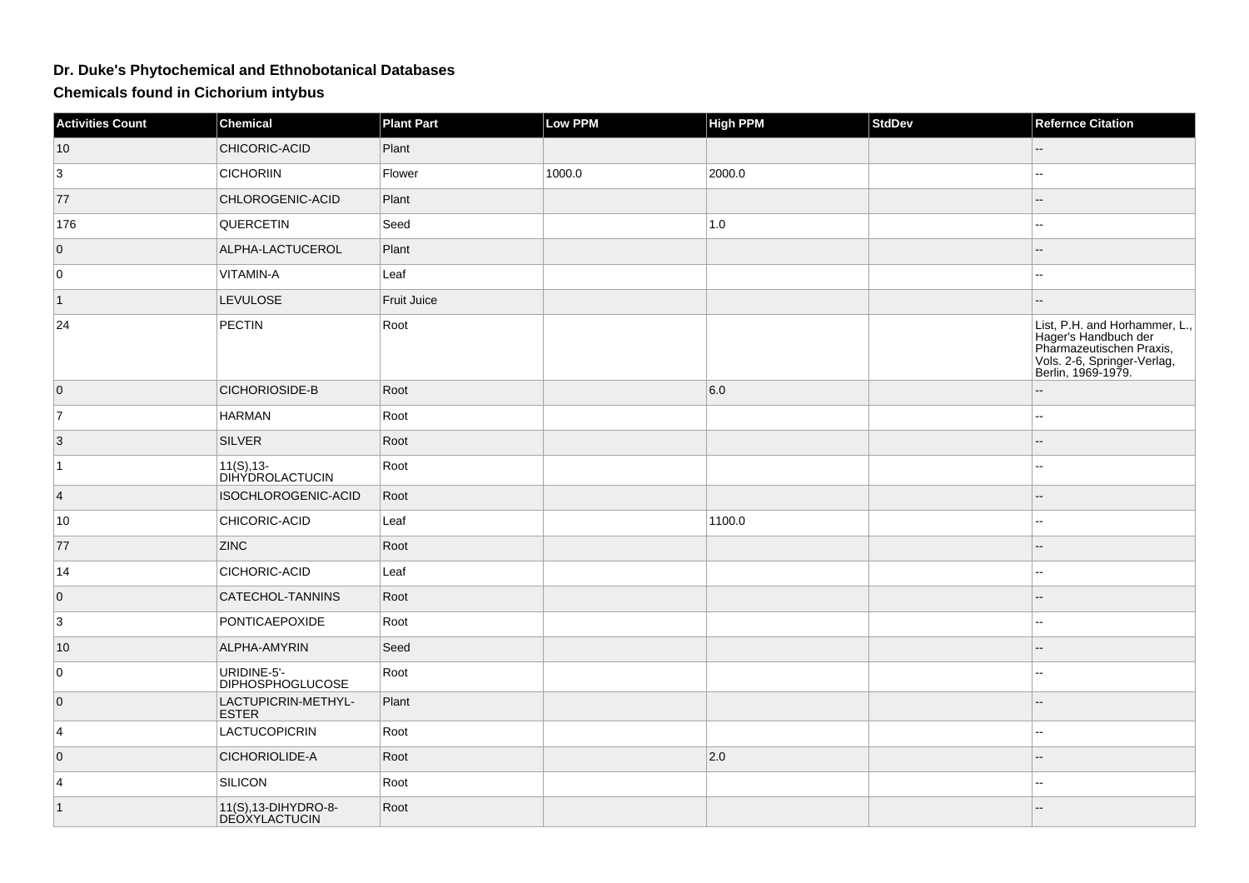## **Dr. Duke's Phytochemical and Ethnobotanical Databases**

**Chemicals found in Cichorium intybus**

| <b>Activities Count</b> | <b>Chemical</b>                              | <b>Plant Part</b> | Low PPM | <b>High PPM</b> | <b>StdDev</b> | <b>Refernce Citation</b>                                                                                                               |
|-------------------------|----------------------------------------------|-------------------|---------|-----------------|---------------|----------------------------------------------------------------------------------------------------------------------------------------|
| 10                      | CHICORIC-ACID                                | Plant             |         |                 |               |                                                                                                                                        |
| 3                       | <b>CICHORIIN</b>                             | Flower            | 1000.0  | 2000.0          |               | L.                                                                                                                                     |
| 77                      | CHLOROGENIC-ACID                             | Plant             |         |                 |               |                                                                                                                                        |
| 176                     | <b>QUERCETIN</b>                             | Seed              |         | 1.0             |               | --                                                                                                                                     |
| $\overline{0}$          | ALPHA-LACTUCEROL                             | Plant             |         |                 |               |                                                                                                                                        |
| 0                       | VITAMIN-A                                    | Leaf              |         |                 |               |                                                                                                                                        |
| $\vert$ 1               | LEVULOSE                                     | Fruit Juice       |         |                 |               |                                                                                                                                        |
| 24                      | PECTIN                                       | Root              |         |                 |               | List, P.H. and Horhammer, L.,<br>Hager's Handbuch der<br>Pharmazeutischen Praxis,<br>Vols. 2-6, Springer-Verlag,<br>Berlin, 1969-1979. |
| $\overline{0}$          | CICHORIOSIDE-B                               | Root              |         | 6.0             |               |                                                                                                                                        |
| $\overline{7}$          | <b>HARMAN</b>                                | Root              |         |                 |               | ۵.                                                                                                                                     |
| $\vert 3 \vert$         | <b>SILVER</b>                                | Root              |         |                 |               | ÷.                                                                                                                                     |
| $\vert$ 1               | $11(S), 13-$<br><b>DIHYDROLACTUCIN</b>       | Root              |         |                 |               |                                                                                                                                        |
| $\vert 4 \vert$         | ISOCHLOROGENIC-ACID                          | Root              |         |                 |               | $-$                                                                                                                                    |
| 10                      | CHICORIC-ACID                                | Leaf              |         | 1100.0          |               | --                                                                                                                                     |
| 77                      | <b>ZINC</b>                                  | Root              |         |                 |               | --                                                                                                                                     |
| 14                      | CICHORIC-ACID                                | Leaf              |         |                 |               |                                                                                                                                        |
| $\overline{0}$          | CATECHOL-TANNINS                             | Root              |         |                 |               |                                                                                                                                        |
| 3                       | PONTICAEPOXIDE                               | Root              |         |                 |               | ۵.                                                                                                                                     |
| 10                      | ALPHA-AMYRIN                                 | Seed              |         |                 |               |                                                                                                                                        |
| 0                       | URIDINE-5'-<br><b>DIPHOSPHOGLUCOSE</b>       | Root              |         |                 |               | ц,                                                                                                                                     |
| $\overline{0}$          | LACTUPICRIN-METHYL-<br><b>ESTER</b>          | Plant             |         |                 |               | $-$                                                                                                                                    |
| 4                       | <b>LACTUCOPICRIN</b>                         | Root              |         |                 |               | шш.                                                                                                                                    |
| $\overline{0}$          | CICHORIOLIDE-A                               | Root              |         | 2.0             |               | --                                                                                                                                     |
| 4                       | SILICON                                      | Root              |         |                 |               | --                                                                                                                                     |
| $\vert$ 1               | 11(S), 13-DIHYDRO-8-<br><b>DEOXYLACTUCIN</b> | Root              |         |                 |               |                                                                                                                                        |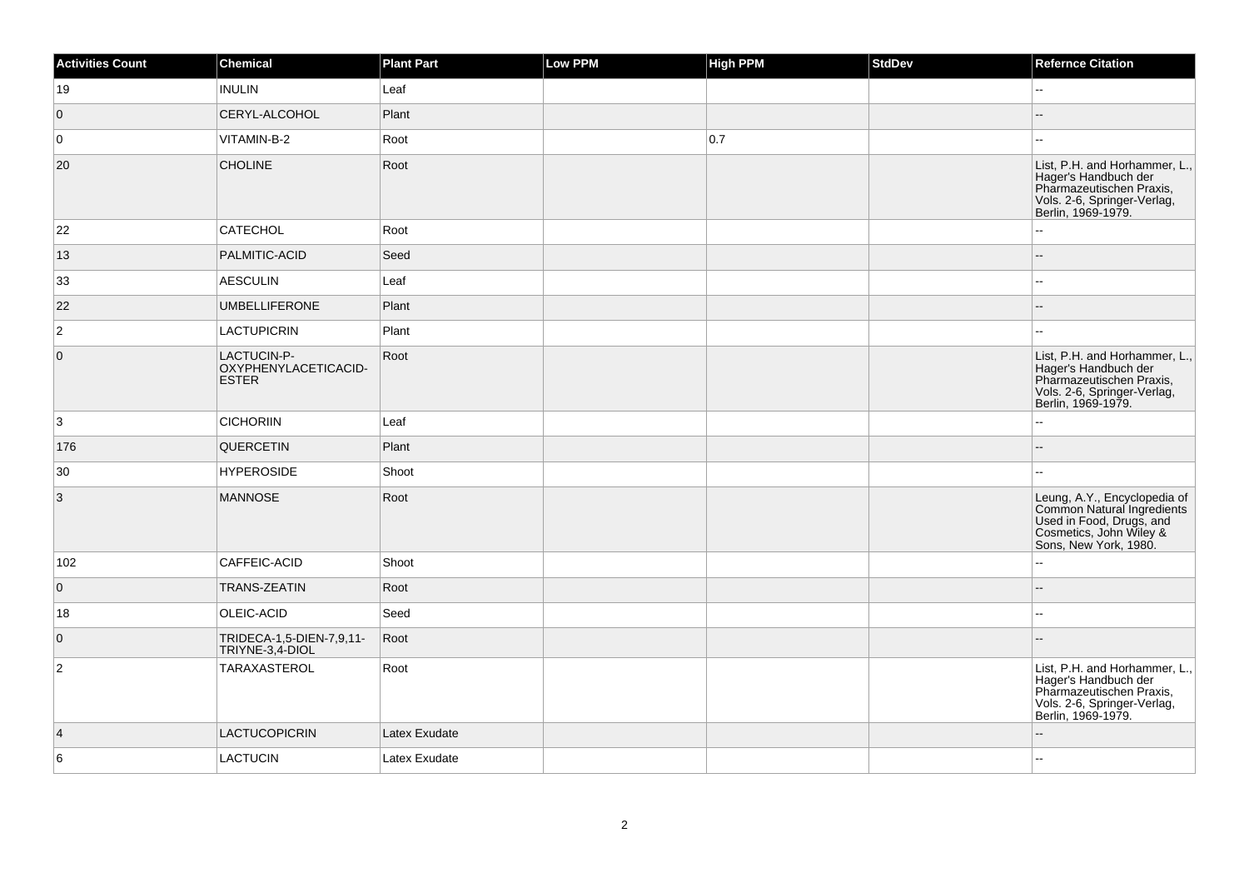| <b>Activities Count</b> | Chemical                                            | <b>Plant Part</b> | Low PPM | <b>High PPM</b> | StdDev | <b>Refernce Citation</b>                                                                                                                   |
|-------------------------|-----------------------------------------------------|-------------------|---------|-----------------|--------|--------------------------------------------------------------------------------------------------------------------------------------------|
| 19                      | <b>INULIN</b>                                       | Leaf              |         |                 |        | ۵.                                                                                                                                         |
| $\overline{0}$          | CERYL-ALCOHOL                                       | Plant             |         |                 |        |                                                                                                                                            |
| 0                       | VITAMIN-B-2                                         | Root              |         | 0.7             |        | 44                                                                                                                                         |
| 20                      | <b>CHOLINE</b>                                      | Root              |         |                 |        | List, P.H. and Horhammer, L.<br>Hager's Handbuch der<br>Pharmazeutischen Praxis,<br>Vols. 2-6, Springer-Verlag,<br>Berlin, 1969-1979.      |
| 22                      | <b>CATECHOL</b>                                     | Root              |         |                 |        | L.                                                                                                                                         |
| 13                      | PALMITIC-ACID                                       | Seed              |         |                 |        | --                                                                                                                                         |
| 33                      | AESCULIN                                            | Leaf              |         |                 |        | Щ,                                                                                                                                         |
| 22                      | <b>UMBELLIFERONE</b>                                | Plant             |         |                 |        | --                                                                                                                                         |
| $\overline{2}$          | LACTUPICRIN                                         | Plant             |         |                 |        | ÷÷.                                                                                                                                        |
| $\overline{0}$          | LACTUCIN-P-<br>OXYPHENYLACETICACID-<br><b>ESTER</b> | Root              |         |                 |        | List, P.H. and Horhammer, L.,<br>Hager's Handbuch der<br>Pharmazeutischen Praxis,<br>Vols. 2-6, Springer-Verlag,<br>Berlin, 1969-1979.     |
| 3                       | <b>CICHORIIN</b>                                    | Leaf              |         |                 |        | 44                                                                                                                                         |
| 176                     | <b>QUERCETIN</b>                                    | Plant             |         |                 |        | --                                                                                                                                         |
| 30                      | <b>HYPEROSIDE</b>                                   | Shoot             |         |                 |        | шш.                                                                                                                                        |
| $\overline{3}$          | <b>MANNOSE</b>                                      | Root              |         |                 |        | Leung, A.Y., Encyclopedia of<br>Common Natural Ingredients<br>Used in Food, Drugs, and<br>Cosmetics, John Wiley &<br>Sons, New York, 1980. |
| 102                     | CAFFEIC-ACID                                        | Shoot             |         |                 |        | --                                                                                                                                         |
| $\overline{0}$          | <b>TRANS-ZEATIN</b>                                 | Root              |         |                 |        | $-$                                                                                                                                        |
| 18                      | OLEIC-ACID                                          | Seed              |         |                 |        | ۵.                                                                                                                                         |
| $\overline{0}$          | TRIDECA-1,5-DIEN-7,9,11-<br>TRIYNE-3,4-DIOL         | Root              |         |                 |        |                                                                                                                                            |
| $\overline{c}$          | TARAXASTEROL                                        | Root              |         |                 |        | List, P.H. and Horhammer, L.,<br>Hager's Handbuch der<br>Pharmazeutischen Praxis,<br>Vols. 2-6, Springer-Verlag,<br>Berlin, 1969-1979.     |
| $\vert 4 \vert$         | LACTUCOPICRIN                                       | Latex Exudate     |         |                 |        |                                                                                                                                            |
| 6                       | <b>LACTUCIN</b>                                     | Latex Exudate     |         |                 |        |                                                                                                                                            |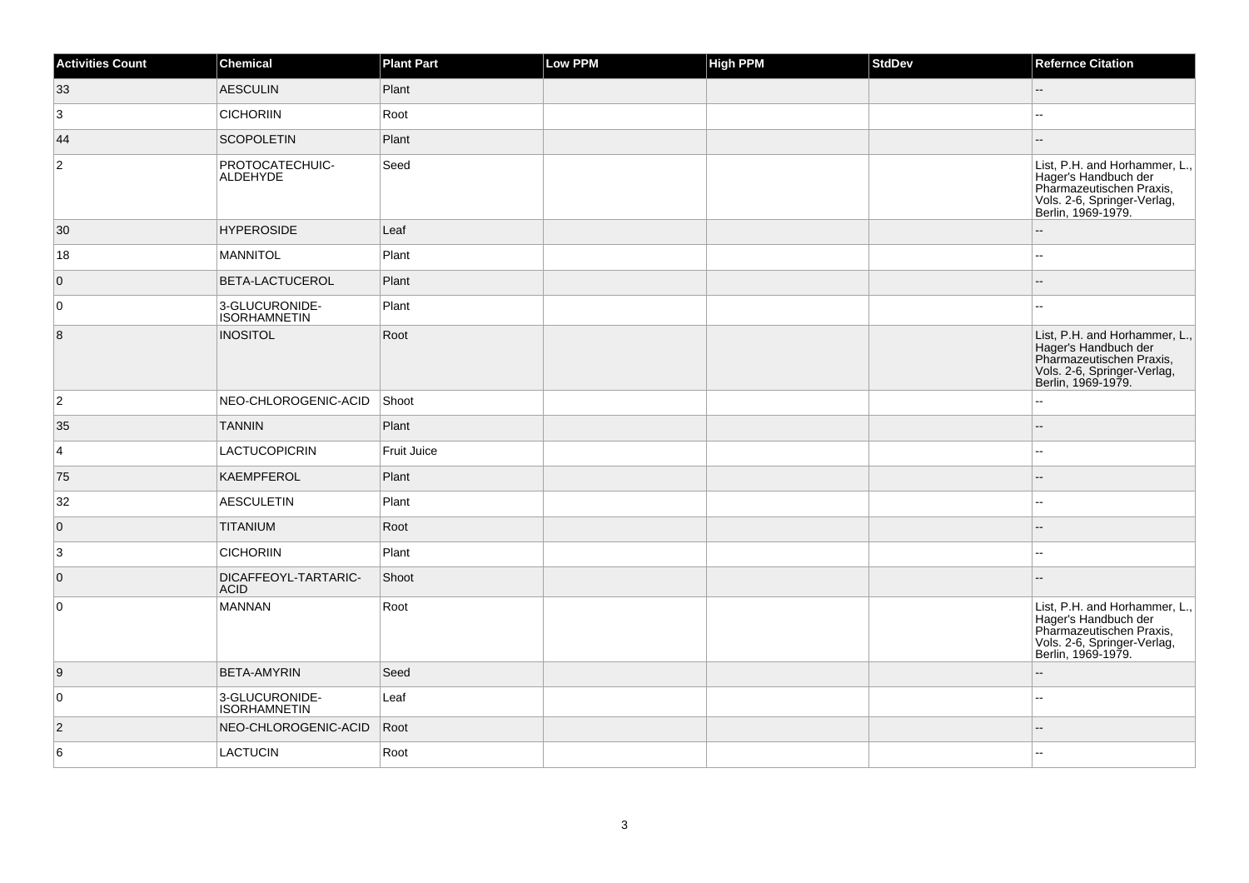| <b>Activities Count</b> | Chemical                              | <b>Plant Part</b>  | Low PPM | <b>High PPM</b> | StdDev | <b>Refernce Citation</b>                                                                                                               |
|-------------------------|---------------------------------------|--------------------|---------|-----------------|--------|----------------------------------------------------------------------------------------------------------------------------------------|
| 33                      | <b>AESCULIN</b>                       | Plant              |         |                 |        | $-$                                                                                                                                    |
| 3                       | <b>CICHORIIN</b>                      | Root               |         |                 |        | ۵.                                                                                                                                     |
| 44                      | <b>SCOPOLETIN</b>                     | Plant              |         |                 |        | $\overline{a}$                                                                                                                         |
| $\overline{c}$          | PROTOCATECHUIC-<br>ALDEHYDE           | Seed               |         |                 |        | List, P.H. and Horhammer, L.,<br>Hager's Handbuch der<br>Pharmazeutischen Praxis,<br>Vols. 2-6, Springer-Verlag,<br>Berlin, 1969-1979. |
| 30                      | <b>HYPEROSIDE</b>                     | Leaf               |         |                 |        |                                                                                                                                        |
| 18                      | <b>MANNITOL</b>                       | Plant              |         |                 |        | --                                                                                                                                     |
| $\overline{0}$          | BETA-LACTUCEROL                       | Plant              |         |                 |        | $-$                                                                                                                                    |
| 0                       | 3-GLUCURONIDE-<br><b>ISORHAMNETIN</b> | Plant              |         |                 |        | --                                                                                                                                     |
| 8                       | <b>INOSITOL</b>                       | Root               |         |                 |        | List, P.H. and Horhammer, L.,<br>Hager's Handbuch der<br>Pharmazeutischen Praxis,<br>Vols. 2-6, Springer-Verlag,<br>Berlin, 1969-1979. |
| $ 2\rangle$             | NEO-CHLOROGENIC-ACID                  | Shoot              |         |                 |        | ۵.                                                                                                                                     |
| 35                      | <b>TANNIN</b>                         | Plant              |         |                 |        | --                                                                                                                                     |
| $\overline{4}$          | LACTUCOPICRIN                         | <b>Fruit Juice</b> |         |                 |        |                                                                                                                                        |
| 75                      | <b>KAEMPFEROL</b>                     | Plant              |         |                 |        |                                                                                                                                        |
| 32                      | <b>AESCULETIN</b>                     | Plant              |         |                 |        | ۵.                                                                                                                                     |
| $\overline{0}$          | <b>TITANIUM</b>                       | Root               |         |                 |        |                                                                                                                                        |
| $\mathbf{3}$            | <b>CICHORIIN</b>                      | Plant              |         |                 |        | $\overline{\phantom{a}}$                                                                                                               |
| $\overline{0}$          | DICAFFEOYL-TARTARIC-<br><b>ACID</b>   | Shoot              |         |                 |        | ۵.                                                                                                                                     |
| $\overline{0}$          | MANNAN                                | Root               |         |                 |        | List, P.H. and Horhammer, L.,<br>Hager's Handbuch der<br>Pharmazeutischen Praxis,<br>Vols. 2-6, Springer-Verlag,<br>Berlin, 1969-1979. |
| 9                       | <b>BETA-AMYRIN</b>                    | Seed               |         |                 |        |                                                                                                                                        |
| $\overline{0}$          | 3-GLUCURONIDE-<br><b>ISORHAMNETIN</b> | Leaf               |         |                 |        | ۵.                                                                                                                                     |
| $\overline{2}$          | NEO-CHLOROGENIC-ACID                  | Root               |         |                 |        |                                                                                                                                        |
| 6                       | <b>LACTUCIN</b>                       | Root               |         |                 |        |                                                                                                                                        |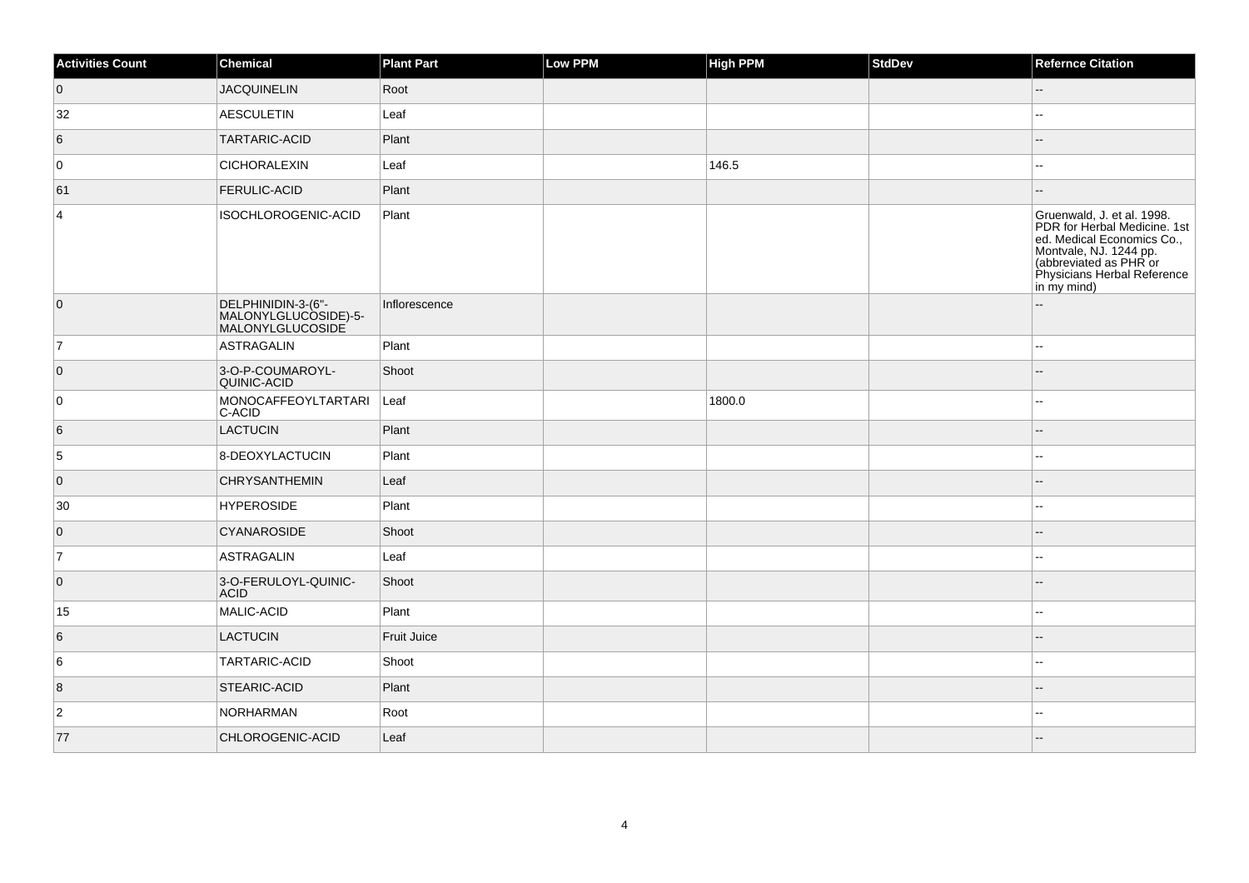| <b>Activities Count</b> | Chemical                                                       | <b>Plant Part</b>  | Low PPM | <b>High PPM</b> | StdDev | <b>Refernce Citation</b>                                                                                                                                                                   |
|-------------------------|----------------------------------------------------------------|--------------------|---------|-----------------|--------|--------------------------------------------------------------------------------------------------------------------------------------------------------------------------------------------|
| $\overline{0}$          | <b>JACQUINELIN</b>                                             | Root               |         |                 |        | --                                                                                                                                                                                         |
| 32                      | AESCULETIN                                                     | Leaf               |         |                 |        |                                                                                                                                                                                            |
| 6                       | <b>TARTARIC-ACID</b>                                           | Plant              |         |                 |        |                                                                                                                                                                                            |
| 0                       | <b>CICHORALEXIN</b>                                            | Leaf               |         | 146.5           |        | ۵.                                                                                                                                                                                         |
| 61                      | <b>FERULIC-ACID</b>                                            | Plant              |         |                 |        |                                                                                                                                                                                            |
| $\overline{4}$          | ISOCHLOROGENIC-ACID                                            | Plant              |         |                 |        | Gruenwald, J. et al. 1998.<br>PDR for Herbal Medicine. 1st<br>ed. Medical Economics Co.,<br>Montvale, NJ. 1244 pp.<br>(abbreviated as PHR or<br>Physicians Herbal Reference<br>in my mind) |
| $\overline{0}$          | DELPHINIDIN-3-(6"-<br>MALONYLGLUCOSIDE)-5-<br>MALONYLGLUCOSIDE | Inflorescence      |         |                 |        |                                                                                                                                                                                            |
| 7                       | ASTRAGALIN                                                     | Plant              |         |                 |        | $\overline{\phantom{a}}$                                                                                                                                                                   |
| $\overline{0}$          | 3-O-P-COUMAROYL-<br>QUINIC-ACID                                | Shoot              |         |                 |        | $\overline{a}$                                                                                                                                                                             |
| 0                       | MONOCAFFEOYLTARTARI<br>C-ACID                                  | Leaf               |         | 1800.0          |        |                                                                                                                                                                                            |
| 6                       | LACTUCIN                                                       | Plant              |         |                 |        |                                                                                                                                                                                            |
| 5                       | 8-DEOXYLACTUCIN                                                | Plant              |         |                 |        | 44                                                                                                                                                                                         |
| $\overline{0}$          | <b>CHRYSANTHEMIN</b>                                           | Leaf               |         |                 |        |                                                                                                                                                                                            |
| 30                      | <b>HYPEROSIDE</b>                                              | Plant              |         |                 |        | ۵.                                                                                                                                                                                         |
| $\overline{0}$          | <b>CYANAROSIDE</b>                                             | Shoot              |         |                 |        |                                                                                                                                                                                            |
| 7                       | <b>ASTRAGALIN</b>                                              | Leaf               |         |                 |        | --                                                                                                                                                                                         |
| $\overline{0}$          | 3-O-FERULOYL-QUINIC-<br><b>ACID</b>                            | Shoot              |         |                 |        |                                                                                                                                                                                            |
| 15                      | MALIC-ACID                                                     | Plant              |         |                 |        | $\overline{\phantom{a}}$                                                                                                                                                                   |
| 6                       | LACTUCIN                                                       | <b>Fruit Juice</b> |         |                 |        |                                                                                                                                                                                            |
| 6                       | <b>TARTARIC-ACID</b>                                           | Shoot              |         |                 |        | $-$                                                                                                                                                                                        |
| $\vert 8 \vert$         | STEARIC-ACID                                                   | Plant              |         |                 |        |                                                                                                                                                                                            |
| $\vert$ 2               | NORHARMAN                                                      | Root               |         |                 |        | $\overline{a}$                                                                                                                                                                             |
| 77                      | CHLOROGENIC-ACID                                               | Leaf               |         |                 |        |                                                                                                                                                                                            |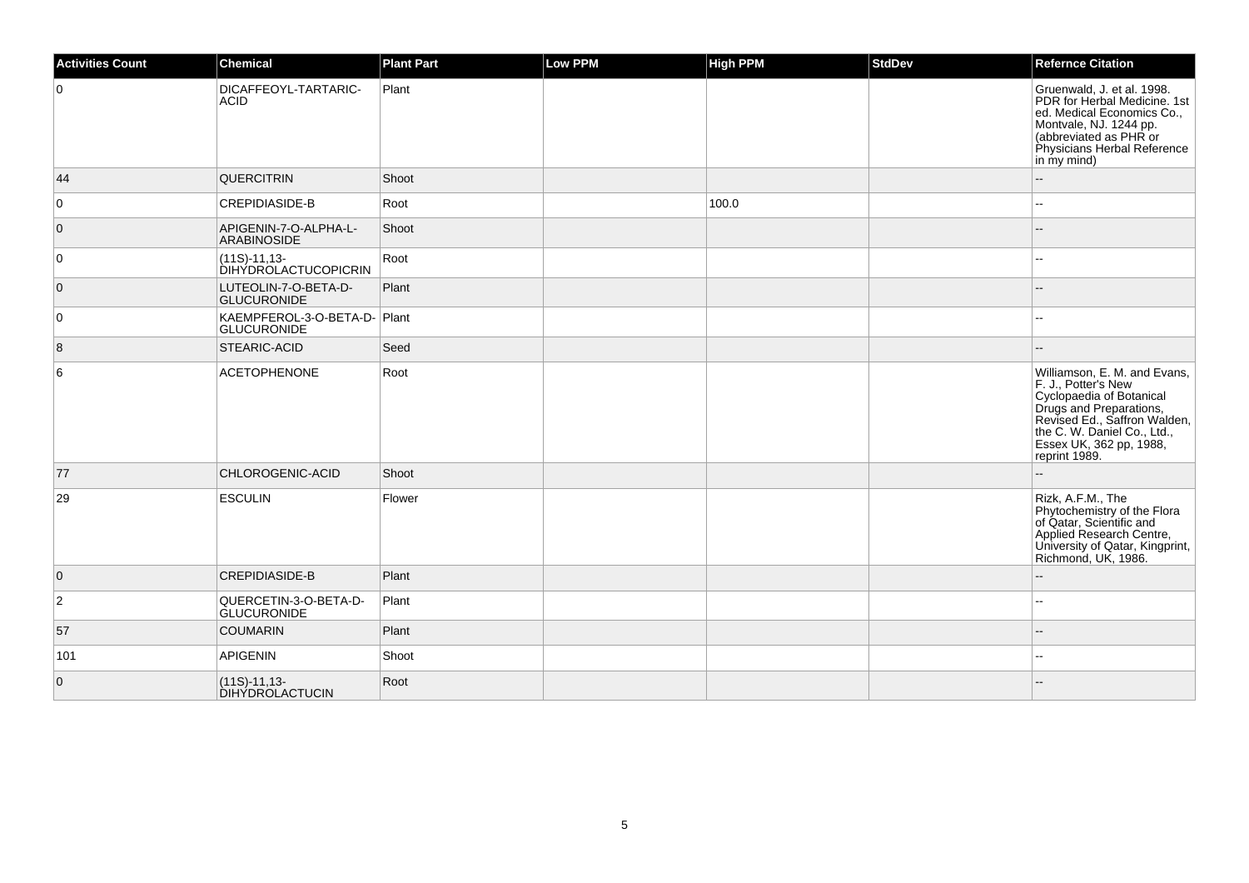| <b>Activities Count</b> | <b>Chemical</b>                                   | <b>Plant Part</b> | <b>Low PPM</b> | High PPM | <b>StdDev</b> | <b>Refernce Citation</b>                                                                                                                                                                                              |
|-------------------------|---------------------------------------------------|-------------------|----------------|----------|---------------|-----------------------------------------------------------------------------------------------------------------------------------------------------------------------------------------------------------------------|
| $\mathbf 0$             | <b>DICAFFEOYL-TARTARIC-</b><br><b>ACID</b>        | Plant             |                |          |               | Gruenwald, J. et al. 1998.<br>PDR for Herbal Medicine. 1st<br>ed. Medical Economics Co.,<br>Montvale, NJ. 1244 pp.<br>(abbreviated as PHR or<br>Physicians Herbal Reference<br>in my mind)                            |
| 44                      | <b>QUERCITRIN</b>                                 | Shoot             |                |          |               |                                                                                                                                                                                                                       |
| 0                       | <b>CREPIDIASIDE-B</b>                             | Root              |                | 100.0    |               | $\sim$                                                                                                                                                                                                                |
| $\mathbf{0}$            | APIGENIN-7-O-ALPHA-L-<br>ARABINOSIDE              | Shoot             |                |          |               |                                                                                                                                                                                                                       |
| $\mathbf 0$             | $(11S)-11,13-$<br><b>DIHÝDROLACTUCOPICRIN</b>     | Root              |                |          |               |                                                                                                                                                                                                                       |
| 0                       | LUTEOLIN-7-O-BETA-D-<br><b>GLUCURONIDE</b>        | Plant             |                |          |               |                                                                                                                                                                                                                       |
| $\mathbf 0$             | KAEMPFEROL-3-O-BETA-D-Plant<br><b>GLUCURONIDE</b> |                   |                |          |               |                                                                                                                                                                                                                       |
| 8                       | <b>STEARIC-ACID</b>                               | Seed              |                |          |               |                                                                                                                                                                                                                       |
| 6                       | <b>ACETOPHENONE</b>                               | Root              |                |          |               | Williamson, E. M. and Evans,<br>F. J., Potter's New<br>Cyclopaedia of Botanical<br>Drugs and Preparations,<br>Revised Ed., Saffron Walden,<br>the C. W. Daniel Co., Ltd.,<br>Essex UK, 362 pp, 1988,<br>reprint 1989. |
| 77                      | CHLOROGENIC-ACID                                  | Shoot             |                |          |               |                                                                                                                                                                                                                       |
| 29                      | <b>ESCULIN</b>                                    | Flower            |                |          |               | Rizk, A.F.M., The<br>Phytochemistry of the Flora<br>of Qatar, Scientific and<br>Applied Research Centre,<br>University of Qatar, Kingprint,<br>Richmond, UK, 1986.                                                    |
| $\overline{0}$          | <b>CREPIDIASIDE-B</b>                             | Plant             |                |          |               |                                                                                                                                                                                                                       |
| $\overline{2}$          | QUERCETIN-3-O-BETA-D-<br><b>GLUCURONIDE</b>       | Plant             |                |          |               | $\sim$ $\sim$                                                                                                                                                                                                         |
| 57                      | <b>COUMARIN</b>                                   | Plant             |                |          |               |                                                                                                                                                                                                                       |
| 101                     | APIGENIN                                          | Shoot             |                |          |               | $\overline{a}$                                                                                                                                                                                                        |
| $\mathbf{0}$            | $(11S)-11,13-$<br><b>DIHÝDROLACTUCIN</b>          | Root              |                |          |               |                                                                                                                                                                                                                       |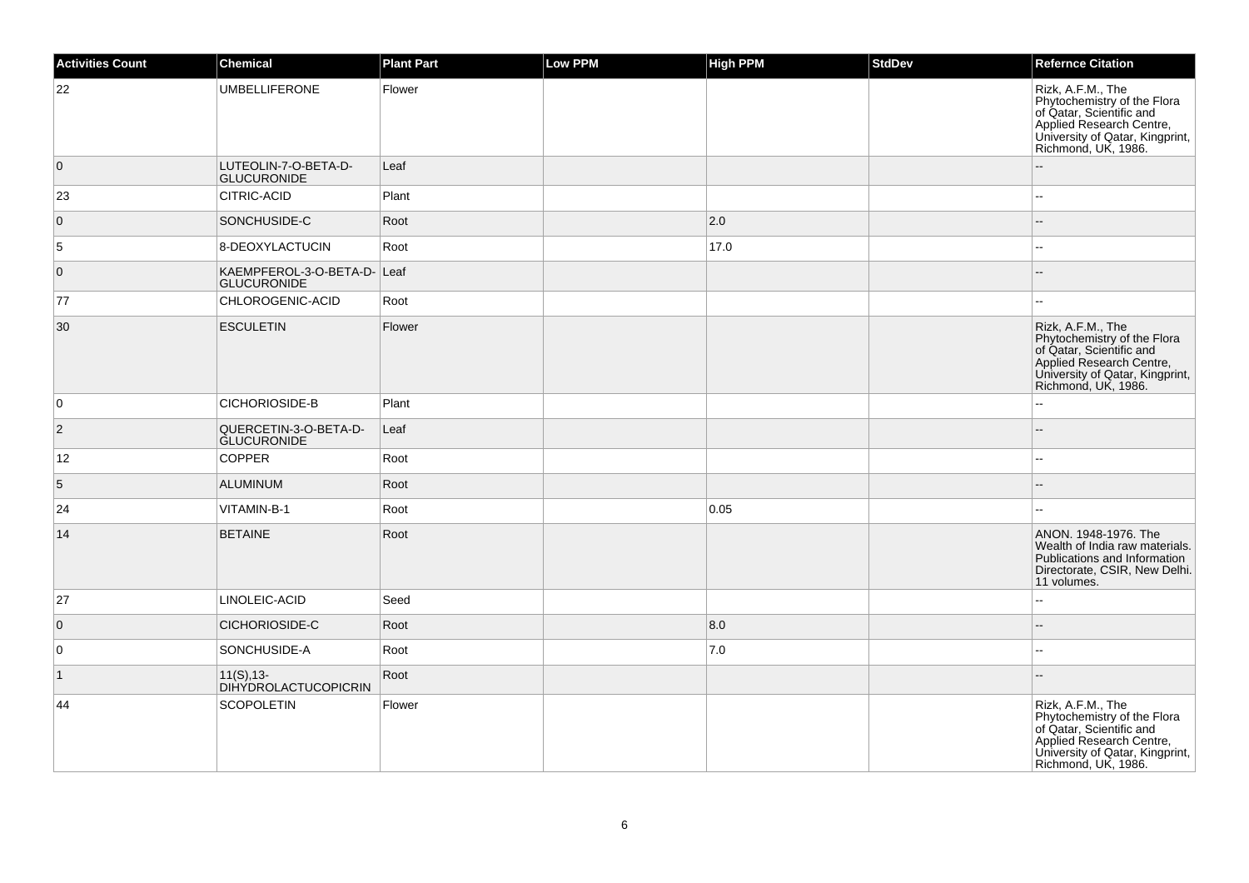| <b>Activities Count</b> | Chemical                                          | <b>Plant Part</b> | Low PPM | <b>High PPM</b> | <b>StdDev</b> | <b>Refernce Citation</b>                                                                                                                                           |
|-------------------------|---------------------------------------------------|-------------------|---------|-----------------|---------------|--------------------------------------------------------------------------------------------------------------------------------------------------------------------|
| 22                      | <b>UMBELLIFERONE</b>                              | Flower            |         |                 |               | Rizk, A.F.M., The<br>Phytochemistry of the Flora<br>of Qatar, Scientific and<br>Applied Research Centre,<br>University of Qatar, Kingprint,<br>Richmond, UK, 1986. |
| $\overline{0}$          | LUTEOLIN-7-O-BETA-D-<br><b>GLUCURONIDE</b>        | Leaf              |         |                 |               | $-$                                                                                                                                                                |
| 23                      | CITRIC-ACID                                       | Plant             |         |                 |               |                                                                                                                                                                    |
| $\overline{0}$          | SONCHUSIDE-C                                      | Root              |         | 2.0             |               |                                                                                                                                                                    |
| $\overline{5}$          | 8-DEOXYLACTUCIN                                   | Root              |         | 17.0            |               |                                                                                                                                                                    |
| $\overline{0}$          | KAEMPFEROL-3-O-BETA-D- Leaf<br><b>GLUCURONIDE</b> |                   |         |                 |               |                                                                                                                                                                    |
| 77                      | CHLOROGENIC-ACID                                  | Root              |         |                 |               | $\sim$                                                                                                                                                             |
| 30                      | <b>ESCULETIN</b>                                  | Flower            |         |                 |               | Rizk, A.F.M., The<br>Phytochemistry of the Flora<br>of Qatar, Scientific and<br>Applied Research Centre,<br>University of Qatar, Kingprint,<br>Richmond, UK, 1986. |
| $\overline{0}$          | CICHORIOSIDE-B                                    | Plant             |         |                 |               |                                                                                                                                                                    |
| $\vert$ 2               | QUERCETIN-3-O-BETA-D-<br><b>GLUCURONIDE</b>       | Leaf              |         |                 |               |                                                                                                                                                                    |
| 12                      | <b>COPPER</b>                                     | Root              |         |                 |               |                                                                                                                                                                    |
| $\sqrt{5}$              | <b>ALUMINUM</b>                                   | Root              |         |                 |               |                                                                                                                                                                    |
| 24                      | VITAMIN-B-1                                       | Root              |         | 0.05            |               | Ξ.                                                                                                                                                                 |
| 14                      | <b>BETAINE</b>                                    | Root              |         |                 |               | ANON. 1948-1976. The<br>Wealth of India raw materials.<br>Publications and Information<br>Directorate, CSIR, New Delhi.<br>11 volumes.                             |
| 27                      | LINOLEIC-ACID                                     | Seed              |         |                 |               | $\overline{a}$                                                                                                                                                     |
| $\overline{0}$          | CICHORIOSIDE-C                                    | Root              |         | 8.0             |               | $-$                                                                                                                                                                |
| $\overline{0}$          | SONCHUSIDE-A                                      | Root              |         | 7.0             |               |                                                                                                                                                                    |
| $\vert$ 1               | $11(S), 13-$<br><b>DIHYDROLACTUCOPICRIN</b>       | Root              |         |                 |               |                                                                                                                                                                    |
| 44                      | <b>SCOPOLETIN</b>                                 | Flower            |         |                 |               | Rizk, A.F.M., The<br>Phytochemistry of the Flora<br>of Qatar, Scientific and<br>Applied Research Centre,<br>University of Qatar, Kingprint,<br>Richmond, UK, 1986. |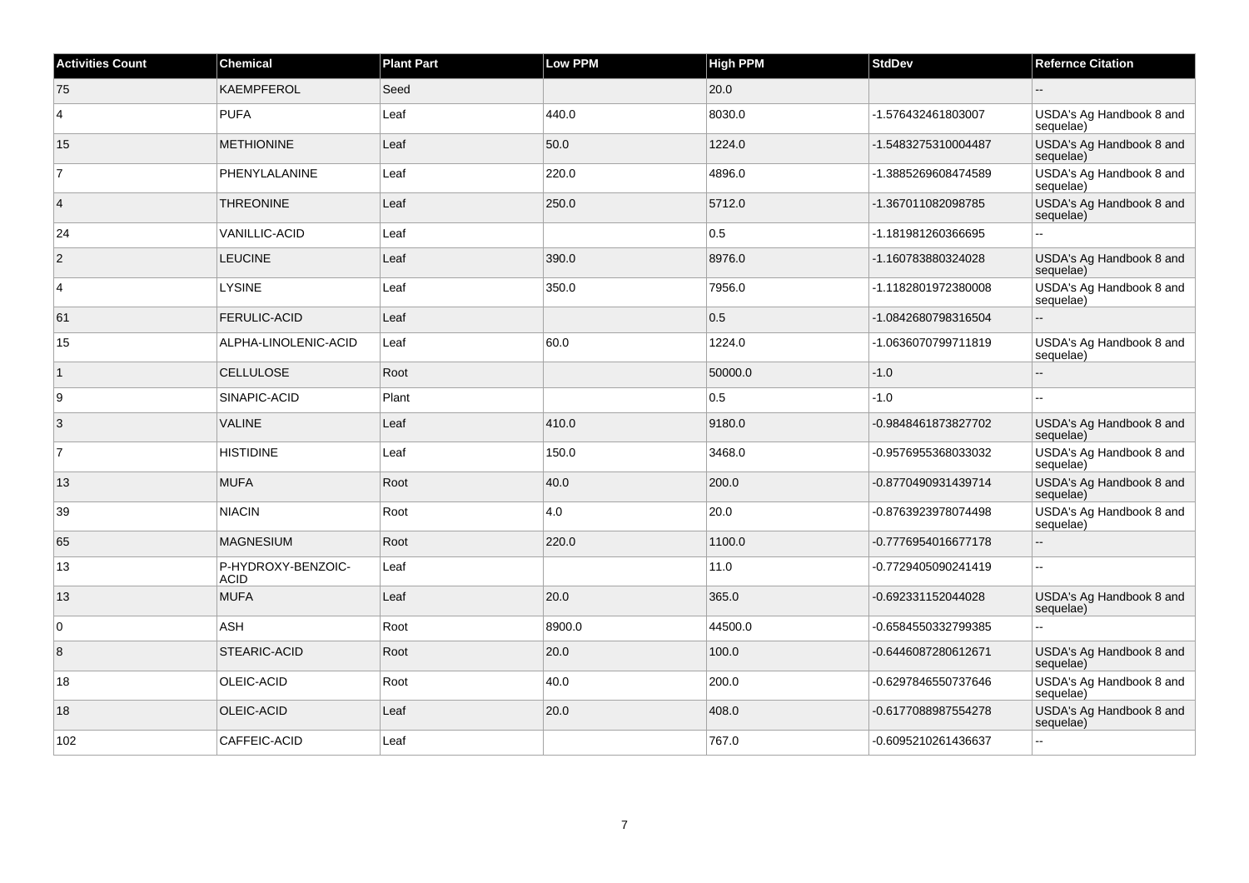| <b>Activities Count</b> | Chemical                          | <b>Plant Part</b> | <b>Low PPM</b> | <b>High PPM</b> | <b>StdDev</b>       | <b>Refernce Citation</b>              |
|-------------------------|-----------------------------------|-------------------|----------------|-----------------|---------------------|---------------------------------------|
| 75                      | <b>KAEMPFEROL</b>                 | Seed              |                | 20.0            |                     |                                       |
| 4                       | <b>PUFA</b>                       | Leaf              | 440.0          | 8030.0          | -1.576432461803007  | USDA's Ag Handbook 8 and<br>sequelae) |
| 15                      | <b>METHIONINE</b>                 | Leaf              | 50.0           | 1224.0          | -1.5483275310004487 | USDA's Ag Handbook 8 and<br>sequelae) |
| $\overline{7}$          | PHENYLALANINE                     | Leaf              | 220.0          | 4896.0          | -1.3885269608474589 | USDA's Ag Handbook 8 and<br>sequelae) |
| $\overline{4}$          | <b>THREONINE</b>                  | Leaf              | 250.0          | 5712.0          | -1.367011082098785  | USDA's Ag Handbook 8 and<br>sequelae) |
| 24                      | <b>VANILLIC-ACID</b>              | Leaf              |                | 0.5             | -1.181981260366695  | $\overline{a}$                        |
| $\overline{2}$          | <b>LEUCINE</b>                    | Leaf              | 390.0          | 8976.0          | -1.160783880324028  | USDA's Ag Handbook 8 and<br>sequelae) |
| $\overline{4}$          | <b>LYSINE</b>                     | Leaf              | 350.0          | 7956.0          | -1.1182801972380008 | USDA's Ag Handbook 8 and<br>sequelae) |
| 61                      | <b>FERULIC-ACID</b>               | Leaf              |                | 0.5             | -1.0842680798316504 | Ξ.                                    |
| 15                      | ALPHA-LINOLENIC-ACID              | Leaf              | 60.0           | 1224.0          | -1.0636070799711819 | USDA's Ag Handbook 8 and<br>sequelae) |
| $\mathbf{1}$            | <b>CELLULOSE</b>                  | Root              |                | 50000.0         | $-1.0$              | ÷.                                    |
| 9                       | SINAPIC-ACID                      | Plant             |                | 0.5             | $-1.0$              |                                       |
| 3                       | <b>VALINE</b>                     | Leaf              | 410.0          | 9180.0          | -0.9848461873827702 | USDA's Ag Handbook 8 and<br>sequelae) |
| $\overline{7}$          | <b>HISTIDINE</b>                  | Leaf              | 150.0          | 3468.0          | -0.9576955368033032 | USDA's Ag Handbook 8 and<br>sequelae) |
| 13                      | <b>MUFA</b>                       | Root              | 40.0           | 200.0           | -0.8770490931439714 | USDA's Ag Handbook 8 and<br>sequelae) |
| 39                      | <b>NIACIN</b>                     | Root              | 4.0            | 20.0            | -0.8763923978074498 | USDA's Ag Handbook 8 and<br>sequelae) |
| 65                      | <b>MAGNESIUM</b>                  | Root              | 220.0          | 1100.0          | -0.7776954016677178 | L.                                    |
| 13                      | P-HYDROXY-BENZOIC-<br><b>ACID</b> | Leaf              |                | 11.0            | -0.7729405090241419 | $\sim$                                |
| 13                      | <b>MUFA</b>                       | Leaf              | 20.0           | 365.0           | -0.692331152044028  | USDA's Ag Handbook 8 and<br>sequelae) |
| 0                       | <b>ASH</b>                        | Root              | 8900.0         | 44500.0         | -0.6584550332799385 | $\overline{a}$                        |
| 8                       | <b>STEARIC-ACID</b>               | Root              | 20.0           | 100.0           | -0.6446087280612671 | USDA's Ag Handbook 8 and<br>sequelae) |
| 18                      | OLEIC-ACID                        | Root              | 40.0           | 200.0           | -0.6297846550737646 | USDA's Ag Handbook 8 and<br>sequelae) |
| 18                      | OLEIC-ACID                        | Leaf              | 20.0           | 408.0           | -0.6177088987554278 | USDA's Ag Handbook 8 and<br>sequelae) |
| 102                     | CAFFEIC-ACID                      | Leaf              |                | 767.0           | -0.6095210261436637 | $\ddot{\phantom{a}}$                  |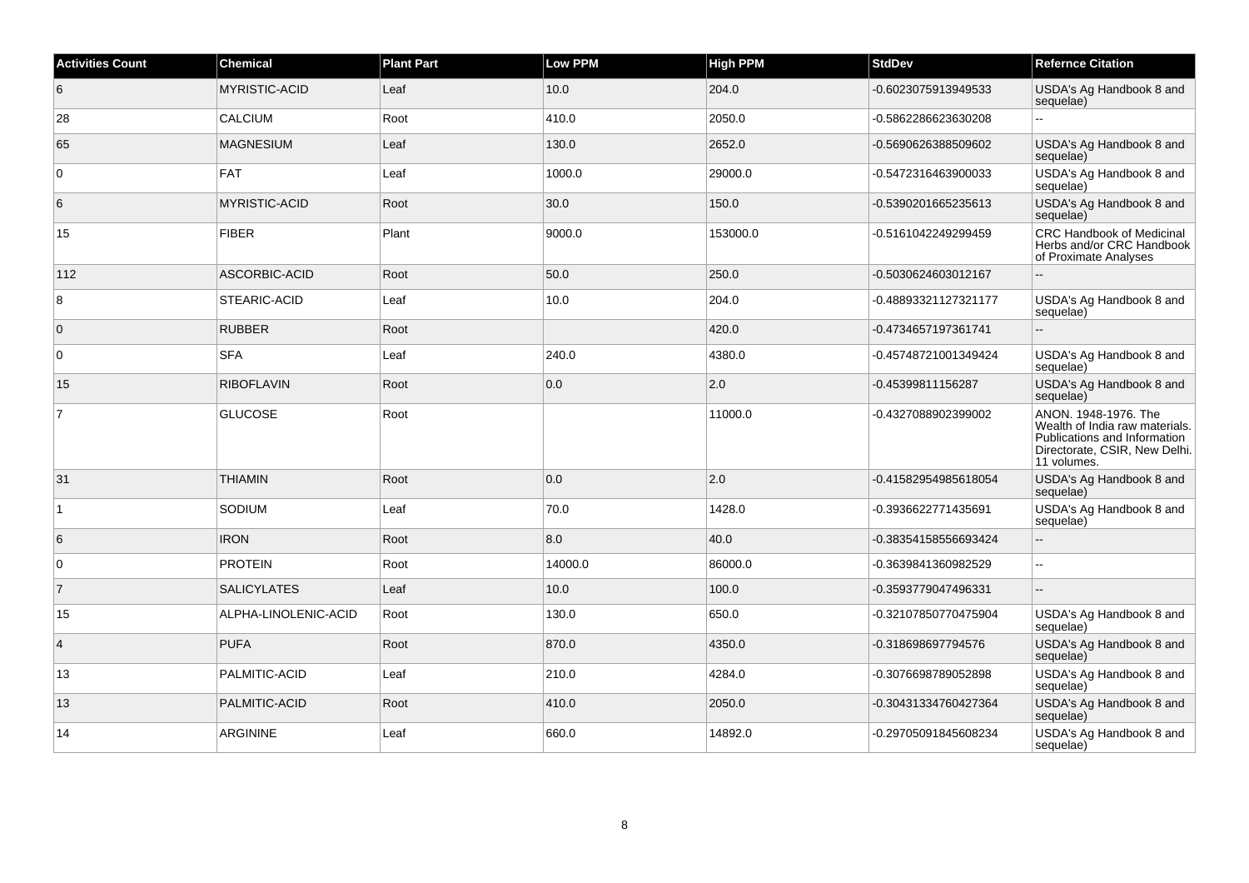| <b>Activities Count</b> | <b>Chemical</b>      | <b>Plant Part</b> | <b>Low PPM</b> | High PPM | <b>StdDev</b>        | <b>Refernce Citation</b>                                                                                                               |
|-------------------------|----------------------|-------------------|----------------|----------|----------------------|----------------------------------------------------------------------------------------------------------------------------------------|
| 6                       | <b>MYRISTIC-ACID</b> | Leaf              | 10.0           | 204.0    | -0.6023075913949533  | USDA's Ag Handbook 8 and<br>sequelae)                                                                                                  |
| 28                      | CALCIUM              | Root              | 410.0          | 2050.0   | -0.5862286623630208  |                                                                                                                                        |
| 65                      | <b>MAGNESIUM</b>     | Leaf              | 130.0          | 2652.0   | -0.5690626388509602  | USDA's Ag Handbook 8 and<br>sequelae)                                                                                                  |
| $\overline{0}$          | <b>FAT</b>           | Leaf              | 1000.0         | 29000.0  | -0.5472316463900033  | USDA's Ag Handbook 8 and<br>sequelae)                                                                                                  |
| 6                       | <b>MYRISTIC-ACID</b> | Root              | 30.0           | 150.0    | -0.5390201665235613  | USDA's Ag Handbook 8 and<br>sequelae)                                                                                                  |
| 15                      | FIBER                | Plant             | 9000.0         | 153000.0 | -0.5161042249299459  | <b>CRC Handbook of Medicinal</b><br>Herbs and/or CRC Handbook<br>of Proximate Analyses                                                 |
| 112                     | ASCORBIC-ACID        | Root              | 50.0           | 250.0    | -0.5030624603012167  |                                                                                                                                        |
| 8                       | STEARIC-ACID         | Leaf              | 10.0           | 204.0    | -0.48893321127321177 | USDA's Ag Handbook 8 and<br>sequelae)                                                                                                  |
| $\overline{0}$          | <b>RUBBER</b>        | Root              |                | 420.0    | -0.4734657197361741  |                                                                                                                                        |
| $\overline{0}$          | <b>SFA</b>           | Leaf              | 240.0          | 4380.0   | -0.45748721001349424 | USDA's Ag Handbook 8 and<br>sequelae)                                                                                                  |
| 15                      | <b>RIBOFLAVIN</b>    | Root              | 0.0            | 2.0      | -0.45399811156287    | USDA's Ag Handbook 8 and<br>sequelae)                                                                                                  |
| $\overline{7}$          | <b>GLUCOSE</b>       | Root              |                | 11000.0  | -0.4327088902399002  | ANON. 1948-1976. The<br>Wealth of India raw materials.<br>Publications and Information<br>Directorate, CSIR, New Delhi.<br>11 volumes. |
| 31                      | <b>THIAMIN</b>       | Root              | 0.0            | 2.0      | -0.41582954985618054 | USDA's Ag Handbook 8 and<br>sequelae)                                                                                                  |
| $\mathbf{1}$            | SODIUM               | Leaf              | 70.0           | 1428.0   | -0.3936622771435691  | USDA's Ag Handbook 8 and<br>sequelae)                                                                                                  |
| 6                       | <b>IRON</b>          | Root              | 8.0            | 40.0     | -0.38354158556693424 | $-$                                                                                                                                    |
| $\overline{0}$          | <b>PROTEIN</b>       | Root              | 14000.0        | 86000.0  | -0.3639841360982529  | ä.                                                                                                                                     |
| $\overline{7}$          | <b>SALICYLATES</b>   | Leaf              | 10.0           | 100.0    | -0.3593779047496331  |                                                                                                                                        |
| 15                      | ALPHA-LINOLENIC-ACID | Root              | 130.0          | 650.0    | -0.32107850770475904 | USDA's Ag Handbook 8 and<br>sequelae)                                                                                                  |
| $\vert$ 4               | <b>PUFA</b>          | Root              | 870.0          | 4350.0   | -0.318698697794576   | USDA's Ag Handbook 8 and<br>sequelae)                                                                                                  |
| 13                      | PALMITIC-ACID        | Leaf              | 210.0          | 4284.0   | -0.3076698789052898  | USDA's Ag Handbook 8 and<br>sequelae)                                                                                                  |
| 13                      | PALMITIC-ACID        | Root              | 410.0          | 2050.0   | -0.30431334760427364 | USDA's Ag Handbook 8 and<br>sequelae)                                                                                                  |
| 14                      | <b>ARGININE</b>      | Leaf              | 660.0          | 14892.0  | -0.29705091845608234 | USDA's Ag Handbook 8 and<br>sequelae)                                                                                                  |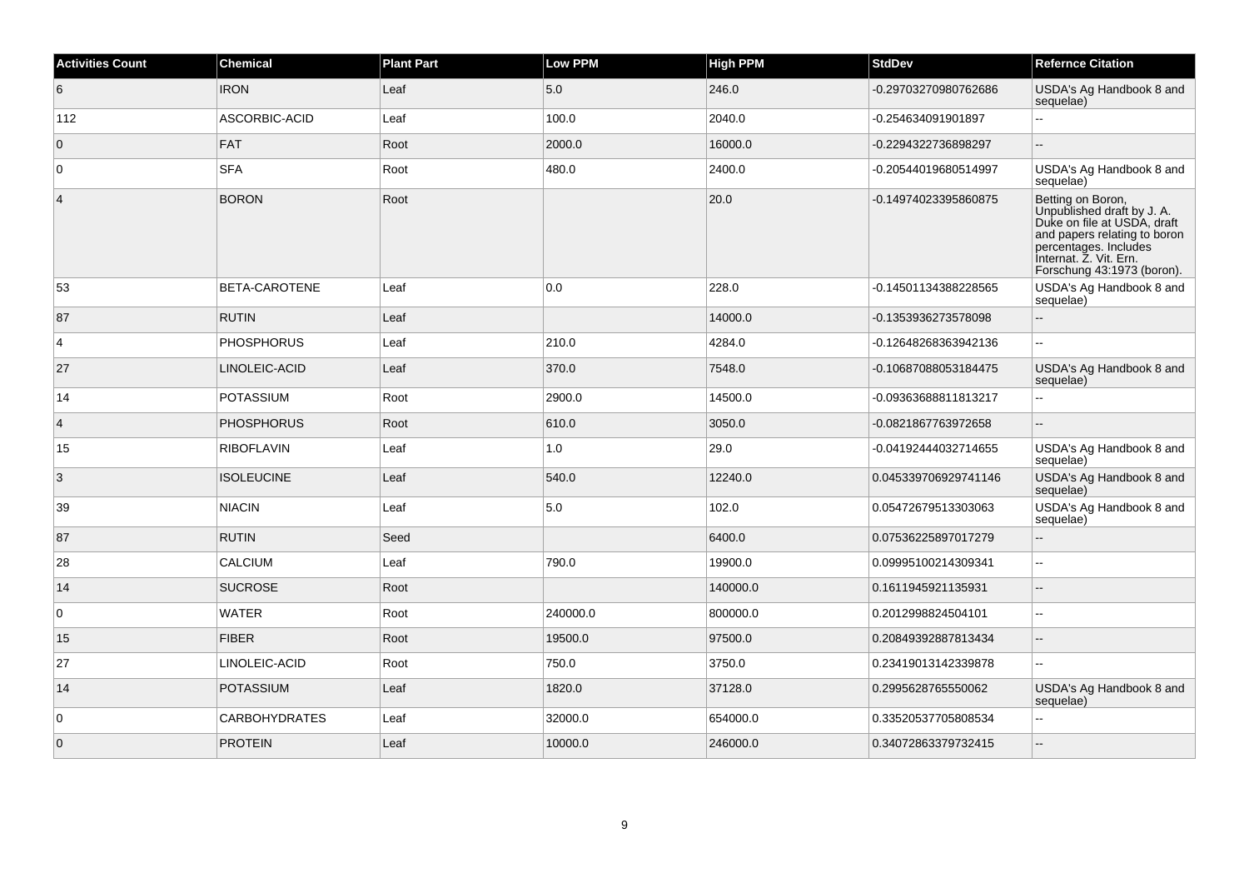| <b>Activities Count</b> | Chemical             | <b>Plant Part</b> | <b>Low PPM</b> | <b>High PPM</b> | <b>StdDev</b>        | <b>Refernce Citation</b>                                                                                                                                                                        |
|-------------------------|----------------------|-------------------|----------------|-----------------|----------------------|-------------------------------------------------------------------------------------------------------------------------------------------------------------------------------------------------|
| 6                       | <b>IRON</b>          | Leaf              | 5.0            | 246.0           | -0.29703270980762686 | USDA's Ag Handbook 8 and<br>sequelae)                                                                                                                                                           |
| 112                     | ASCORBIC-ACID        | Leaf              | 100.0          | 2040.0          | -0.254634091901897   | $\sim$                                                                                                                                                                                          |
| $\mathbf 0$             | FAT                  | Root              | 2000.0         | 16000.0         | -0.2294322736898297  |                                                                                                                                                                                                 |
| $\mathbf 0$             | <b>SFA</b>           | Root              | 480.0          | 2400.0          | -0.20544019680514997 | USDA's Ag Handbook 8 and<br>sequelae)                                                                                                                                                           |
| $\overline{4}$          | <b>BORON</b>         | Root              |                | 20.0            | -0.14974023395860875 | Betting on Boron,<br>Unpublished draft by J. A.<br>Duke on file at USDA, draft<br>and papers relating to boron<br>percentages. Includes<br>Internat. Z. Vit. Ern.<br>Forschung 43:1973 (boron). |
| 53                      | BETA-CAROTENE        | Leaf              | 0.0            | 228.0           | -0.14501134388228565 | USDA's Ag Handbook 8 and<br>sequelae)                                                                                                                                                           |
| 87                      | <b>RUTIN</b>         | Leaf              |                | 14000.0         | -0.1353936273578098  | $\overline{\phantom{a}}$                                                                                                                                                                        |
| $\overline{4}$          | <b>PHOSPHORUS</b>    | Leaf              | 210.0          | 4284.0          | -0.12648268363942136 |                                                                                                                                                                                                 |
| 27                      | LINOLEIC-ACID        | Leaf              | 370.0          | 7548.0          | -0.10687088053184475 | USDA's Ag Handbook 8 and<br>sequelae)                                                                                                                                                           |
| 14                      | <b>POTASSIUM</b>     | Root              | 2900.0         | 14500.0         | -0.09363688811813217 | Ξ.                                                                                                                                                                                              |
| $\overline{4}$          | <b>PHOSPHORUS</b>    | Root              | 610.0          | 3050.0          | -0.0821867763972658  |                                                                                                                                                                                                 |
| 15                      | <b>RIBOFLAVIN</b>    | Leaf              | 1.0            | 29.0            | -0.04192444032714655 | USDA's Ag Handbook 8 and<br>sequelae)                                                                                                                                                           |
| 3                       | <b>ISOLEUCINE</b>    | Leaf              | 540.0          | 12240.0         | 0.045339706929741146 | USDA's Ag Handbook 8 and<br>sequelae)                                                                                                                                                           |
| 39                      | <b>NIACIN</b>        | Leaf              | 5.0            | 102.0           | 0.05472679513303063  | USDA's Ag Handbook 8 and<br>sequelae)                                                                                                                                                           |
| 87                      | <b>RUTIN</b>         | Seed              |                | 6400.0          | 0.07536225897017279  |                                                                                                                                                                                                 |
| 28                      | <b>CALCIUM</b>       | Leaf              | 790.0          | 19900.0         | 0.09995100214309341  |                                                                                                                                                                                                 |
| 14                      | <b>SUCROSE</b>       | Root              |                | 140000.0        | 0.1611945921135931   | $\overline{a}$                                                                                                                                                                                  |
| 0                       | <b>WATER</b>         | Root              | 240000.0       | 800000.0        | 0.2012998824504101   | $\sim$ $\sim$                                                                                                                                                                                   |
| 15                      | <b>FIBER</b>         | Root              | 19500.0        | 97500.0         | 0.20849392887813434  | ÷.                                                                                                                                                                                              |
| 27                      | LINOLEIC-ACID        | Root              | 750.0          | 3750.0          | 0.23419013142339878  | $\sim$                                                                                                                                                                                          |
| 14                      | <b>POTASSIUM</b>     | Leaf              | 1820.0         | 37128.0         | 0.2995628765550062   | USDA's Ag Handbook 8 and<br>sequelae)                                                                                                                                                           |
| 0                       | <b>CARBOHYDRATES</b> | Leaf              | 32000.0        | 654000.0        | 0.33520537705808534  |                                                                                                                                                                                                 |
| $\overline{0}$          | <b>PROTEIN</b>       | Leaf              | 10000.0        | 246000.0        | 0.34072863379732415  |                                                                                                                                                                                                 |